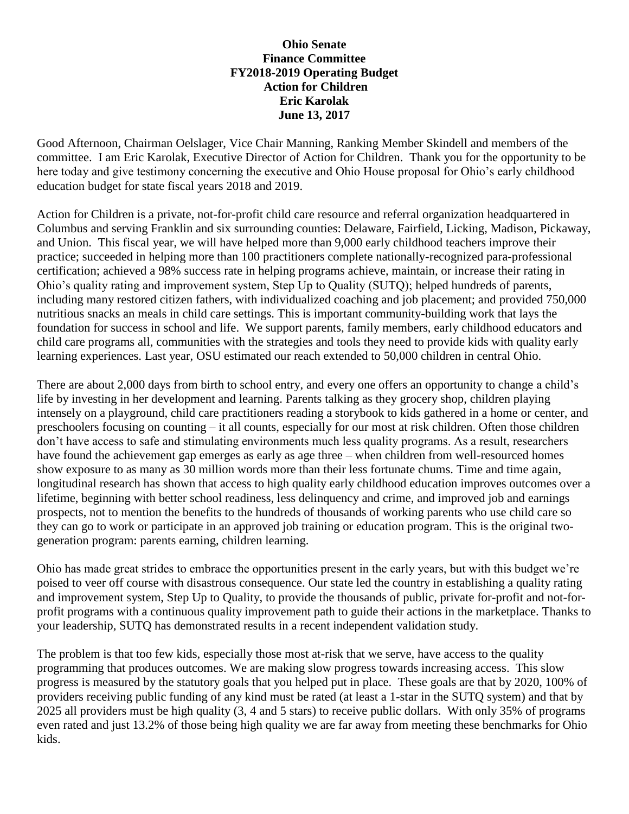## **Ohio Senate Finance Committee FY2018-2019 Operating Budget Action for Children Eric Karolak June 13, 2017**

Good Afternoon, Chairman Oelslager, Vice Chair Manning, Ranking Member Skindell and members of the committee. I am Eric Karolak, Executive Director of Action for Children. Thank you for the opportunity to be here today and give testimony concerning the executive and Ohio House proposal for Ohio's early childhood education budget for state fiscal years 2018 and 2019.

Action for Children is a private, not-for-profit child care resource and referral organization headquartered in Columbus and serving Franklin and six surrounding counties: Delaware, Fairfield, Licking, Madison, Pickaway, and Union. This fiscal year, we will have helped more than 9,000 early childhood teachers improve their practice; succeeded in helping more than 100 practitioners complete nationally-recognized para-professional certification; achieved a 98% success rate in helping programs achieve, maintain, or increase their rating in Ohio's quality rating and improvement system, Step Up to Quality (SUTQ); helped hundreds of parents, including many restored citizen fathers, with individualized coaching and job placement; and provided 750,000 nutritious snacks an meals in child care settings. This is important community-building work that lays the foundation for success in school and life. We support parents, family members, early childhood educators and child care programs all, communities with the strategies and tools they need to provide kids with quality early learning experiences. Last year, OSU estimated our reach extended to 50,000 children in central Ohio.

There are about 2,000 days from birth to school entry, and every one offers an opportunity to change a child's life by investing in her development and learning. Parents talking as they grocery shop, children playing intensely on a playground, child care practitioners reading a storybook to kids gathered in a home or center, and preschoolers focusing on counting – it all counts, especially for our most at risk children. Often those children don't have access to safe and stimulating environments much less quality programs. As a result, researchers have found the achievement gap emerges as early as age three – when children from well-resourced homes show exposure to as many as 30 million words more than their less fortunate chums. Time and time again, longitudinal research has shown that access to high quality early childhood education improves outcomes over a lifetime, beginning with better school readiness, less delinquency and crime, and improved job and earnings prospects, not to mention the benefits to the hundreds of thousands of working parents who use child care so they can go to work or participate in an approved job training or education program. This is the original twogeneration program: parents earning, children learning.

Ohio has made great strides to embrace the opportunities present in the early years, but with this budget we're poised to veer off course with disastrous consequence. Our state led the country in establishing a quality rating and improvement system, Step Up to Quality, to provide the thousands of public, private for-profit and not-forprofit programs with a continuous quality improvement path to guide their actions in the marketplace. Thanks to your leadership, SUTQ has demonstrated results in a recent independent validation study.

The problem is that too few kids, especially those most at-risk that we serve, have access to the quality programming that produces outcomes. We are making slow progress towards increasing access. This slow progress is measured by the statutory goals that you helped put in place. These goals are that by 2020, 100% of providers receiving public funding of any kind must be rated (at least a 1-star in the SUTQ system) and that by 2025 all providers must be high quality (3, 4 and 5 stars) to receive public dollars. With only 35% of programs even rated and just 13.2% of those being high quality we are far away from meeting these benchmarks for Ohio kids.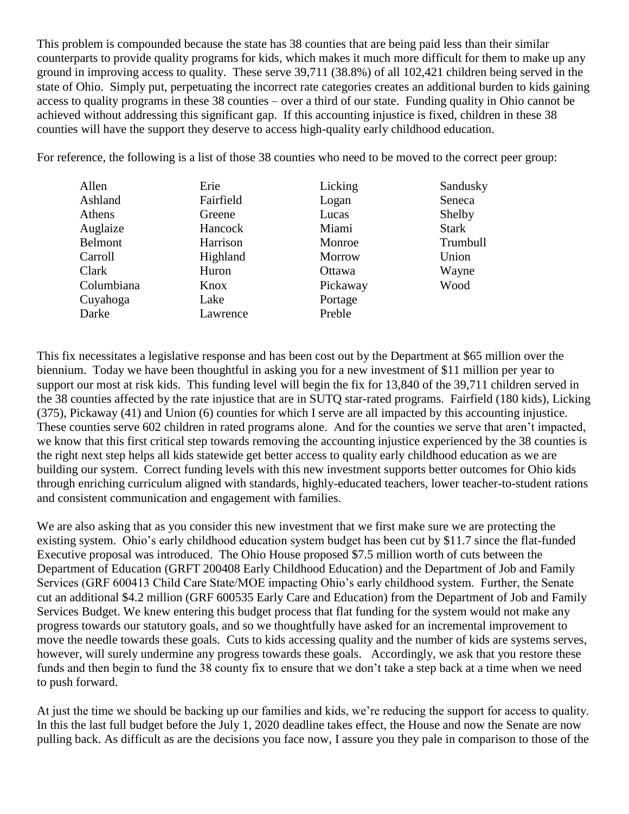This problem is compounded because the state has 38 counties that are being paid less than their similar counterparts to provide quality programs for kids, which makes it much more difficult for them to make up any ground in improving access to quality. These serve 39,711 (38.8%) of all 102,421 children being served in the state of Ohio. Simply put, perpetuating the incorrect rate categories creates an additional burden to kids gaining access to quality programs in these 38 counties – over a third of our state. Funding quality in Ohio cannot be achieved without addressing this significant gap. If this accounting injustice is fixed, children in these 38 counties will have the support they deserve to access high-quality early childhood education.

For reference, the following is a list of those 38 counties who need to be moved to the correct peer group:

| Allen      | Erie      | Licking       | Sandusky     |
|------------|-----------|---------------|--------------|
| Ashland    | Fairfield | Logan         | Seneca       |
| Athens     | Greene    | Lucas         | Shelby       |
| Auglaize   | Hancock   | Miami         | <b>Stark</b> |
| Belmont    | Harrison  | Monroe        | Trumbull     |
| Carroll    | Highland  | <b>Morrow</b> | Union        |
| Clark      | Huron     | Ottawa        | Wayne        |
| Columbiana | Knox      | Pickaway      | Wood         |
| Cuyahoga   | Lake      | Portage       |              |
| Darke      | Lawrence  | Preble        |              |

This fix necessitates a legislative response and has been cost out by the Department at \$65 million over the biennium. Today we have been thoughtful in asking you for a new investment of \$11 million per year to support our most at risk kids. This funding level will begin the fix for 13,840 of the 39,711 children served in the 38 counties affected by the rate injustice that are in SUTQ star-rated programs. Fairfield (180 kids), Licking (375), Pickaway (41) and Union (6) counties for which I serve are all impacted by this accounting injustice. These counties serve 602 children in rated programs alone. And for the counties we serve that aren't impacted, we know that this first critical step towards removing the accounting injustice experienced by the 38 counties is the right next step helps all kids statewide get better access to quality early childhood education as we are building our system. Correct funding levels with this new investment supports better outcomes for Ohio kids through enriching curriculum aligned with standards, highly-educated teachers, lower teacher-to-student rations and consistent communication and engagement with families.

We are also asking that as you consider this new investment that we first make sure we are protecting the existing system. Ohio's early childhood education system budget has been cut by \$11.7 since the flat-funded Executive proposal was introduced. The Ohio House proposed \$7.5 million worth of cuts between the Department of Education (GRFT 200408 Early Childhood Education) and the Department of Job and Family Services (GRF 600413 Child Care State/MOE impacting Ohio's early childhood system. Further, the Senate cut an additional \$4.2 million (GRF 600535 Early Care and Education) from the Department of Job and Family Services Budget. We knew entering this budget process that flat funding for the system would not make any progress towards our statutory goals, and so we thoughtfully have asked for an incremental improvement to move the needle towards these goals. Cuts to kids accessing quality and the number of kids are systems serves, however, will surely undermine any progress towards these goals. Accordingly, we ask that you restore these funds and then begin to fund the 38 county fix to ensure that we don't take a step back at a time when we need to push forward.

At just the time we should be backing up our families and kids, we're reducing the support for access to quality. In this the last full budget before the July 1, 2020 deadline takes effect, the House and now the Senate are now pulling back. As difficult as are the decisions you face now, I assure you they pale in comparison to those of the